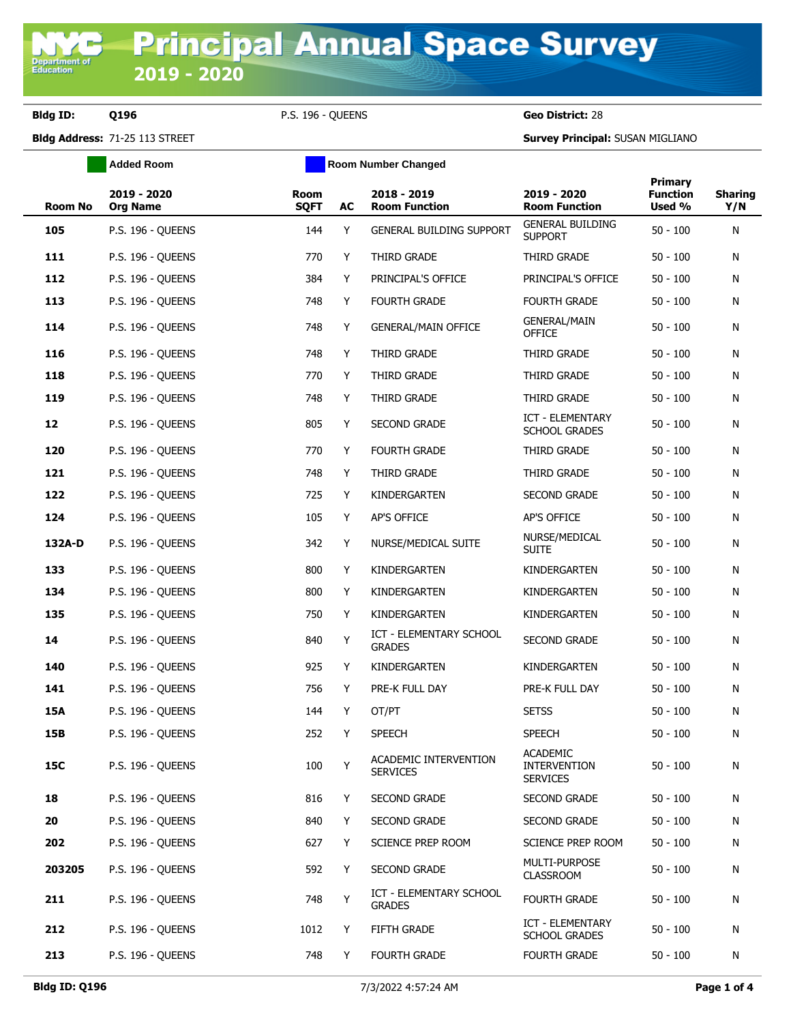**Department o**<br>Education

**Bldg ID: Q196** P.S. 196 - QUEENS **Geo District:** 28

**Bldg Address:** 71-25 113 STREET **Survey Principal:** SUSAN MIGLIANO

|         | <b>Added Room</b>              |                            | <b>Room Number Changed</b> |                                                 |                                                           |                                      |                       |
|---------|--------------------------------|----------------------------|----------------------------|-------------------------------------------------|-----------------------------------------------------------|--------------------------------------|-----------------------|
| Room No | 2019 - 2020<br><b>Org Name</b> | <b>Room</b><br><b>SQFT</b> | AC                         | 2018 - 2019<br><b>Room Function</b>             | 2019 - 2020<br><b>Room Function</b>                       | Primary<br><b>Function</b><br>Used % | <b>Sharing</b><br>Y/N |
| 105     | <b>P.S. 196 - QUEENS</b>       | 144                        | Y                          | <b>GENERAL BUILDING SUPPORT</b>                 | <b>GENERAL BUILDING</b><br><b>SUPPORT</b>                 | $50 - 100$                           | N                     |
| 111     | P.S. 196 - QUEENS              | 770                        | Y                          | THIRD GRADE                                     | THIRD GRADE                                               | $50 - 100$                           | N                     |
| 112     | <b>P.S. 196 - QUEENS</b>       | 384                        | Y                          | PRINCIPAL'S OFFICE                              | PRINCIPAL'S OFFICE                                        | $50 - 100$                           | N                     |
| 113     | <b>P.S. 196 - QUEENS</b>       | 748                        | Y                          | <b>FOURTH GRADE</b>                             | <b>FOURTH GRADE</b>                                       | $50 - 100$                           | N                     |
| 114     | P.S. 196 - QUEENS              | 748                        | Y                          | <b>GENERAL/MAIN OFFICE</b>                      | <b>GENERAL/MAIN</b><br><b>OFFICE</b>                      | $50 - 100$                           | N                     |
| 116     | <b>P.S. 196 - QUEENS</b>       | 748                        | Y                          | THIRD GRADE                                     | THIRD GRADE                                               | $50 - 100$                           | N                     |
| 118     | P.S. 196 - QUEENS              | 770                        | Y                          | THIRD GRADE                                     | THIRD GRADE                                               | $50 - 100$                           | N                     |
| 119     | <b>P.S. 196 - QUEENS</b>       | 748                        | Y                          | THIRD GRADE                                     | THIRD GRADE                                               | $50 - 100$                           | N                     |
| 12      | P.S. 196 - QUEENS              | 805                        | Y                          | <b>SECOND GRADE</b>                             | <b>ICT - ELEMENTARY</b><br><b>SCHOOL GRADES</b>           | $50 - 100$                           | N                     |
| 120     | <b>P.S. 196 - QUEENS</b>       | 770                        | Y                          | <b>FOURTH GRADE</b>                             | THIRD GRADE                                               | $50 - 100$                           | N                     |
| 121     | P.S. 196 - QUEENS              | 748                        | Y                          | THIRD GRADE                                     | THIRD GRADE                                               | $50 - 100$                           | N                     |
| 122     | <b>P.S. 196 - QUEENS</b>       | 725                        | Y                          | KINDERGARTEN                                    | <b>SECOND GRADE</b>                                       | $50 - 100$                           | N                     |
| 124     | P.S. 196 - QUEENS              | 105                        | Y                          | AP'S OFFICE                                     | AP'S OFFICE                                               | $50 - 100$                           | N                     |
| 132A-D  | P.S. 196 - QUEENS              | 342                        | Y                          | NURSE/MEDICAL SUITE                             | NURSE/MEDICAL<br><b>SUITE</b>                             | $50 - 100$                           | N                     |
| 133     | P.S. 196 - QUEENS              | 800                        | Y                          | KINDERGARTEN                                    | KINDERGARTEN                                              | $50 - 100$                           | N                     |
| 134     | <b>P.S. 196 - QUEENS</b>       | 800                        | Y                          | KINDERGARTEN                                    | KINDERGARTEN                                              | $50 - 100$                           | N                     |
| 135     | <b>P.S. 196 - QUEENS</b>       | 750                        | Y                          | KINDERGARTEN                                    | KINDERGARTEN                                              | $50 - 100$                           | N                     |
| 14      | P.S. 196 - QUEENS              | 840                        | Y                          | <b>ICT - ELEMENTARY SCHOOL</b><br><b>GRADES</b> | <b>SECOND GRADE</b>                                       | $50 - 100$                           | N                     |
| 140     | <b>P.S. 196 - QUEENS</b>       | 925                        | Y                          | KINDERGARTEN                                    | KINDERGARTEN                                              | $50 - 100$                           | N                     |
| 141     | P.S. 196 - QUEENS              | 756                        | Y                          | PRE-K FULL DAY                                  | PRE-K FULL DAY                                            | $50 - 100$                           | N                     |
| 15A     | P.S. 196 - OUEENS              | 144                        | Y                          | OT/PT                                           | <b>SETSS</b>                                              | $50 - 100$                           | N                     |
| 15B     | <b>P.S. 196 - OUEENS</b>       | 252                        | Y.                         | <b>SPEECH</b>                                   | <b>SPEECH</b>                                             | $50 - 100$                           | N                     |
| 15C     | <b>P.S. 196 - QUEENS</b>       | 100                        | Y                          | ACADEMIC INTERVENTION<br><b>SERVICES</b>        | <b>ACADEMIC</b><br><b>INTERVENTION</b><br><b>SERVICES</b> | $50 - 100$                           | N                     |
| 18      | <b>P.S. 196 - QUEENS</b>       | 816                        | Y                          | SECOND GRADE                                    | <b>SECOND GRADE</b>                                       | $50 - 100$                           | N                     |
| 20      | <b>P.S. 196 - QUEENS</b>       | 840                        | Y                          | SECOND GRADE                                    | SECOND GRADE                                              | $50 - 100$                           | N                     |
| 202     | P.S. 196 - QUEENS              | 627                        | Y                          | SCIENCE PREP ROOM                               | SCIENCE PREP ROOM                                         | $50 - 100$                           | N                     |
| 203205  | <b>P.S. 196 - QUEENS</b>       | 592                        | Y                          | SECOND GRADE                                    | MULTI-PURPOSE<br><b>CLASSROOM</b>                         | $50 - 100$                           | N                     |
| 211     | <b>P.S. 196 - QUEENS</b>       | 748                        | Y                          | ICT - ELEMENTARY SCHOOL<br><b>GRADES</b>        | <b>FOURTH GRADE</b>                                       | $50 - 100$                           | N                     |
| 212     | P.S. 196 - QUEENS              | 1012                       | Y                          | FIFTH GRADE                                     | ICT - ELEMENTARY<br><b>SCHOOL GRADES</b>                  | $50 - 100$                           | N                     |
| 213     | P.S. 196 - QUEENS              | 748                        | Y                          | <b>FOURTH GRADE</b>                             | FOURTH GRADE                                              | $50 - 100$                           | N                     |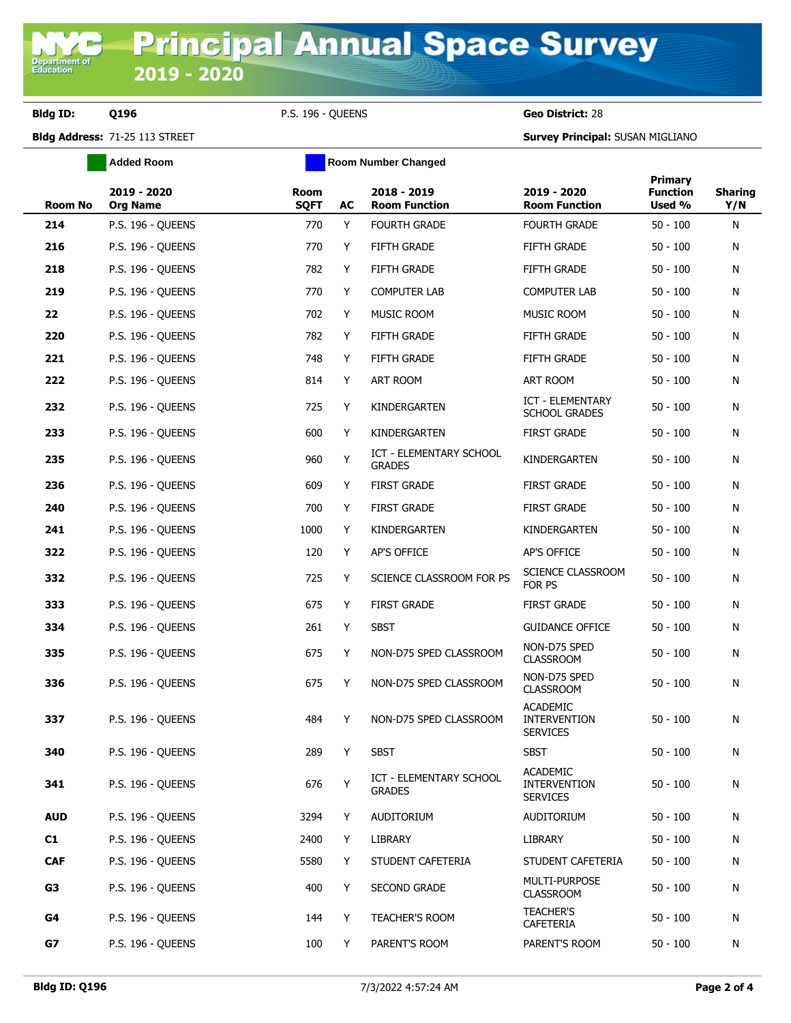**Bldg ID: Q196** P.S. 196 - QUEENS **Geo District:** 28

**Bldg Address:** 71-25 113 STREET **Survey Principal:** SUSAN MIGLIANO

|                | <b>Added Room</b>              | <b>Room Number Changed</b> |    |                                                 |                                                           |                                             |                       |  |
|----------------|--------------------------------|----------------------------|----|-------------------------------------------------|-----------------------------------------------------------|---------------------------------------------|-----------------------|--|
| <b>Room No</b> | 2019 - 2020<br><b>Org Name</b> | Room<br><b>SQFT</b>        | AC | $2018 - 2019$<br><b>Room Function</b>           | 2019 - 2020<br><b>Room Function</b>                       | <b>Primary</b><br><b>Function</b><br>Used % | <b>Sharing</b><br>Y/N |  |
| 214            | <b>P.S. 196 - QUEENS</b>       | 770                        | Y  | <b>FOURTH GRADE</b>                             | <b>FOURTH GRADE</b>                                       | $50 - 100$                                  | N                     |  |
| 216            | P.S. 196 - QUEENS              | 770                        | Y  | FIFTH GRADE                                     | <b>FIFTH GRADE</b>                                        | $50 - 100$                                  | N                     |  |
| 218            | P.S. 196 - QUEENS              | 782                        | Y  | FIFTH GRADE                                     | <b>FIFTH GRADE</b>                                        | $50 - 100$                                  | N                     |  |
| 219            | P.S. 196 - QUEENS              | 770                        | Y  | <b>COMPUTER LAB</b>                             | <b>COMPUTER LAB</b>                                       | $50 - 100$                                  | N                     |  |
| 22             | <b>P.S. 196 - QUEENS</b>       | 702                        | Y  | MUSIC ROOM                                      | <b>MUSIC ROOM</b>                                         | $50 - 100$                                  | N                     |  |
| 220            | <b>P.S. 196 - QUEENS</b>       | 782                        | Y  | FIFTH GRADE                                     | FIFTH GRADE                                               | $50 - 100$                                  | N                     |  |
| 221            | <b>P.S. 196 - QUEENS</b>       | 748                        | Y  | <b>FIFTH GRADE</b>                              | <b>FIFTH GRADE</b>                                        | $50 - 100$                                  | N                     |  |
| 222            | <b>P.S. 196 - QUEENS</b>       | 814                        | Y  | ART ROOM                                        | ART ROOM                                                  | $50 - 100$                                  | N                     |  |
| 232            | <b>P.S. 196 - QUEENS</b>       | 725                        | Y  | KINDERGARTEN                                    | ICT - ELEMENTARY<br><b>SCHOOL GRADES</b>                  | $50 - 100$                                  | N                     |  |
| 233            | P.S. 196 - OUEENS              | 600                        | Y  | KINDERGARTEN                                    | <b>FIRST GRADE</b>                                        | $50 - 100$                                  | N                     |  |
| 235            | <b>P.S. 196 - QUEENS</b>       | 960                        | Υ  | <b>ICT - ELEMENTARY SCHOOL</b><br><b>GRADES</b> | KINDERGARTEN                                              | $50 - 100$                                  | N                     |  |
| 236            | P.S. 196 - QUEENS              | 609                        | Y  | <b>FIRST GRADE</b>                              | <b>FIRST GRADE</b>                                        | $50 - 100$                                  | N                     |  |
| 240            | <b>P.S. 196 - QUEENS</b>       | 700                        | Y  | <b>FIRST GRADE</b>                              | <b>FIRST GRADE</b>                                        | $50 - 100$                                  | N                     |  |
| 241            | <b>P.S. 196 - QUEENS</b>       | 1000                       | Y  | KINDERGARTEN                                    | KINDERGARTEN                                              | $50 - 100$                                  | N                     |  |
| 322            | P.S. 196 - QUEENS              | 120                        | Y  | AP'S OFFICE                                     | AP'S OFFICE                                               | $50 - 100$                                  | N                     |  |
| 332            | <b>P.S. 196 - QUEENS</b>       | 725                        | Y  | SCIENCE CLASSROOM FOR PS                        | SCIENCE CLASSROOM<br>FOR PS                               | $50 - 100$                                  | N                     |  |
| 333            | P.S. 196 - QUEENS              | 675                        | Y  | <b>FIRST GRADE</b>                              | <b>FIRST GRADE</b>                                        | $50 - 100$                                  | N                     |  |
| 334            | <b>P.S. 196 - QUEENS</b>       | 261                        | Y  | <b>SBST</b>                                     | <b>GUIDANCE OFFICE</b>                                    | $50 - 100$                                  | N                     |  |
| 335            | <b>P.S. 196 - QUEENS</b>       | 675                        | Y  | NON-D75 SPED CLASSROOM                          | NON-D75 SPED<br><b>CLASSROOM</b>                          | $50 - 100$                                  | N                     |  |
| 336            | <b>P.S. 196 - QUEENS</b>       | 675                        | Y  | NON-D75 SPED CLASSROOM                          | NON-D75 SPED<br><b>CLASSROOM</b>                          | $50 - 100$                                  | N                     |  |
| 337            | P.S. 196 - QUEENS              | 484                        | Y  | NON-D75 SPED CLASSROOM                          | <b>ACADEMIC</b><br><b>INTERVENTION</b><br><b>SERVICES</b> | $50 - 100$                                  | N                     |  |
| 340            | <b>P.S. 196 - QUEENS</b>       | 289                        | Y  | <b>SBST</b>                                     | <b>SBST</b>                                               | $50 - 100$                                  | N                     |  |
| 341            | P.S. 196 - QUEENS              | 676                        | Y  | ICT - ELEMENTARY SCHOOL<br><b>GRADES</b>        | <b>ACADEMIC</b><br><b>INTERVENTION</b><br><b>SERVICES</b> | $50 - 100$                                  | N                     |  |
| <b>AUD</b>     | P.S. 196 - QUEENS              | 3294                       | Y  | AUDITORIUM                                      | AUDITORIUM                                                | $50 - 100$                                  | N                     |  |
| C1             | P.S. 196 - QUEENS              | 2400                       | Y  | LIBRARY                                         | LIBRARY                                                   | $50 - 100$                                  | N                     |  |
| <b>CAF</b>     | P.S. 196 - OUEENS              | 5580                       | Y  | STUDENT CAFETERIA                               | STUDENT CAFETERIA                                         | $50 - 100$                                  | N                     |  |
| G3             | <b>P.S. 196 - QUEENS</b>       | 400                        | Y  | <b>SECOND GRADE</b>                             | MULTI-PURPOSE<br><b>CLASSROOM</b>                         | $50 - 100$                                  | N                     |  |
| G4             | P.S. 196 - QUEENS              | 144                        | Y  | <b>TEACHER'S ROOM</b>                           | <b>TEACHER'S</b><br>CAFETERIA                             | $50 - 100$                                  | N                     |  |
| G7             | P.S. 196 - QUEENS              | 100                        | Y  | PARENT'S ROOM                                   | PARENT'S ROOM                                             | $50 - 100$                                  | N                     |  |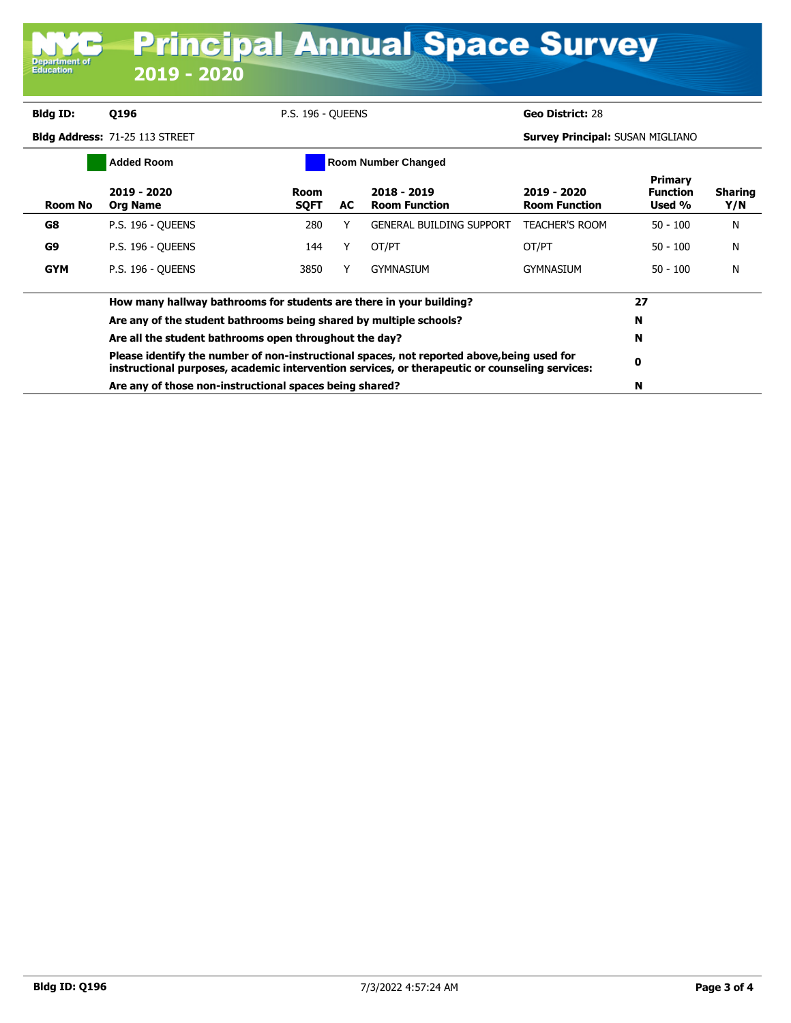| <b>Bldg ID:</b> | Q196                                                                                                                                                                                         | <b>P.S. 196 - OUEENS</b>   |    |                                     | Geo District: 28                        |                                             |                       |
|-----------------|----------------------------------------------------------------------------------------------------------------------------------------------------------------------------------------------|----------------------------|----|-------------------------------------|-----------------------------------------|---------------------------------------------|-----------------------|
|                 | Bldg Address: 71-25 113 STREET                                                                                                                                                               |                            |    |                                     | <b>Survey Principal: SUSAN MIGLIANO</b> |                                             |                       |
|                 | <b>Added Room</b>                                                                                                                                                                            |                            |    | <b>Room Number Changed</b>          |                                         |                                             |                       |
| Room No         | 2019 - 2020<br><b>Org Name</b>                                                                                                                                                               | <b>Room</b><br><b>SQFT</b> | AC | 2018 - 2019<br><b>Room Function</b> | 2019 - 2020<br><b>Room Function</b>     | <b>Primary</b><br><b>Function</b><br>Used % | <b>Sharing</b><br>Y/N |
| G8              | <b>P.S. 196 - QUEENS</b>                                                                                                                                                                     | 280                        | Υ  | <b>GENERAL BUILDING SUPPORT</b>     | <b>TEACHER'S ROOM</b>                   | $50 - 100$                                  | N                     |
| G9              | <b>P.S. 196 - QUEENS</b>                                                                                                                                                                     | 144                        |    | OT/PT                               | OT/PT                                   | $50 - 100$                                  | N                     |
| <b>GYM</b>      | <b>P.S. 196 - OUEENS</b>                                                                                                                                                                     | 3850                       | Y  | <b>GYMNASIUM</b>                    | GYMNASIUM                               | $50 - 100$                                  | N                     |
|                 | How many hallway bathrooms for students are there in your building?                                                                                                                          | 27                         |    |                                     |                                         |                                             |                       |
|                 | Are any of the student bathrooms being shared by multiple schools?                                                                                                                           |                            |    |                                     |                                         | N                                           |                       |
|                 | Are all the student bathrooms open throughout the day?                                                                                                                                       |                            |    |                                     |                                         | N                                           |                       |
|                 | Please identify the number of non-instructional spaces, not reported above, being used for<br>instructional purposes, academic intervention services, or therapeutic or counseling services: |                            |    |                                     |                                         |                                             |                       |
|                 | Are any of those non-instructional spaces being shared?                                                                                                                                      |                            |    |                                     |                                         |                                             |                       |